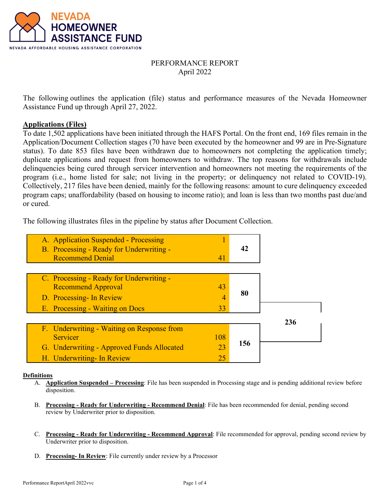

# PERFORMANCE REPORT April 2022

The following outlines the application (file) status and performance measures of the Nevada Homeowner Assistance Fund up through April 27, 2022.

## **Applications (Files)**

To date 1,502 applications have been initiated through the HAFS Portal. On the front end, 169 files remain in the Application/Document Collection stages (70 have been executed by the homeowner and 99 are in Pre-Signature status). To date 853 files have been withdrawn due to homeowners not completing the application timely; duplicate applications and request from homeowners to withdraw. The top reasons for withdrawals include delinquencies being cured through servicer intervention and homeowners not meeting the requirements of the program (i.e., home listed for sale; not living in the property; or delinquency not related to COVID-19). Collectively, 217 files have been denied, mainly for the following reasons: amount to cure delinquency exceeded program caps; unaffordability (based on housing to income ratio); and loan is less than two months past due/and or cured.

The following illustrates files in the pipeline by status after Document Collection.

| A. Application Suspended - Processing<br>B. Processing - Ready for Underwriting -<br><b>Recommend Denial</b> | 41       | 42  |     |
|--------------------------------------------------------------------------------------------------------------|----------|-----|-----|
| C. Processing - Ready for Underwriting -                                                                     |          |     |     |
| <b>Recommend Approval</b><br>D. Processing- In Review                                                        | 43<br>4  | 80  |     |
| E. Processing - Waiting on Docs                                                                              | 33       |     | 236 |
| F. Underwriting - Waiting on Response from<br><b>Servicer</b>                                                | 108      |     |     |
| G. Underwriting - Approved Funds Allocated<br>H. Underwriting- In Review                                     | 23<br>25 | 156 |     |

#### **Definitions**

- A. **Application Suspended Processing**: File has been suspended in Processing stage and is pending additional review before disposition.
- B. **Processing Ready for Underwriting Recommend Denial**: File has been recommended for denial, pending second review by Underwriter prior to disposition.
- C. **Processing Ready for Underwriting Recommend Approval**: File recommended for approval, pending second review by Underwriter prior to disposition.
- D. **Processing- In Review**: File currently under review by a Processor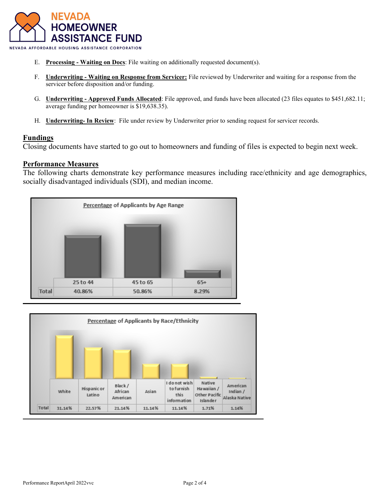

- E. **Processing Waiting on Docs**: File waiting on additionally requested document(s).
- F. **Underwriting Waiting on Response from Servicer:** File reviewed by Underwriter and waiting for a response from the servicer before disposition and/or funding.
- G. **Underwriting Approved Funds Allocated**: File approved, and funds have been allocated (23 files equates to \$451,682.11; average funding per homeowner is \$19,638.35).
- H. **Underwriting- In Review**: File under review by Underwriter prior to sending request for servicer records.

## **Fundings**

Closing documents have started to go out to homeowners and funding of files is expected to begin next week.

## **Performance Measures**

The following charts demonstrate key performance measures including race/ethnicity and age demographics, socially disadvantaged individuals (SDI), and median income.



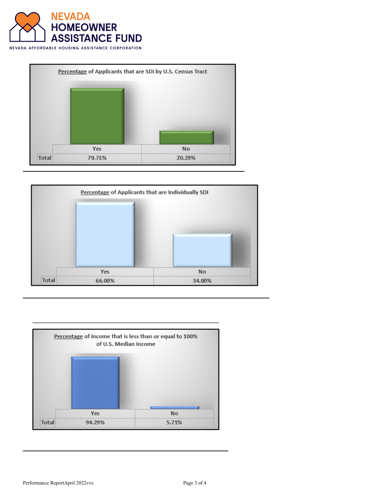







Performance ReportApril 2022vvc Page 3 of 4